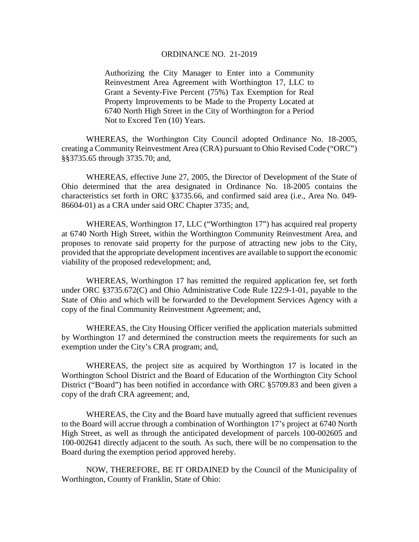#### ORDINANCE NO. 21-2019

Authorizing the City Manager to Enter into a Community Reinvestment Area Agreement with Worthington 17, LLC to Grant a Seventy-Five Percent (75%) Tax Exemption for Real Property Improvements to be Made to the Property Located at 6740 North High Street in the City of Worthington for a Period Not to Exceed Ten (10) Years.

WHEREAS, the Worthington City Council adopted Ordinance No. 18-2005, creating a Community Reinvestment Area (CRA) pursuant to Ohio Revised Code ("ORC") §§3735.65 through 3735.70; and,

WHEREAS, effective June 27, 2005, the Director of Development of the State of Ohio determined that the area designated in Ordinance No. 18-2005 contains the characteristics set forth in ORC §3735.66, and confirmed said area (i.e., Area No. 049- 86604-01) as a CRA under said ORC Chapter 3735; and,

WHEREAS, Worthington 17, LLC ("Worthington 17") has acquired real property at 6740 North High Street, within the Worthington Community Reinvestment Area, and proposes to renovate said property for the purpose of attracting new jobs to the City, provided that the appropriate development incentives are available to support the economic viability of the proposed redevelopment; and,

WHEREAS, Worthington 17 has remitted the required application fee, set forth under ORC §3735.672(C) and Ohio Administrative Code Rule 122:9-1-01, payable to the State of Ohio and which will be forwarded to the Development Services Agency with a copy of the final Community Reinvestment Agreement; and,

WHEREAS, the City Housing Officer verified the application materials submitted by Worthington 17 and determined the construction meets the requirements for such an exemption under the City's CRA program; and,

WHEREAS, the project site as acquired by Worthington 17 is located in the Worthington School District and the Board of Education of the Worthington City School District ("Board") has been notified in accordance with ORC §5709.83 and been given a copy of the draft CRA agreement; and,

WHEREAS, the City and the Board have mutually agreed that sufficient revenues to the Board will accrue through a combination of Worthington 17's project at 6740 North High Street, as well as through the anticipated development of parcels 100-002605 and 100-002641 directly adjacent to the south. As such, there will be no compensation to the Board during the exemption period approved hereby.

NOW, THEREFORE, BE IT ORDAINED by the Council of the Municipality of Worthington, County of Franklin, State of Ohio: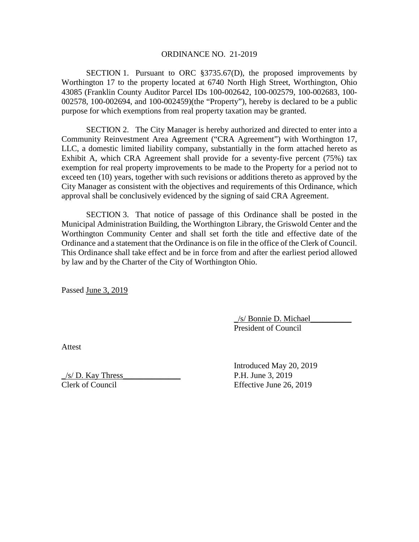### ORDINANCE NO. 21-2019

SECTION 1. Pursuant to ORC §3735.67(D), the proposed improvements by Worthington 17 to the property located at 6740 North High Street, Worthington, Ohio 43085 (Franklin County Auditor Parcel IDs 100-002642, 100-002579, 100-002683, 100- 002578, 100-002694, and 100-002459)(the "Property"), hereby is declared to be a public purpose for which exemptions from real property taxation may be granted.

SECTION 2. The City Manager is hereby authorized and directed to enter into a Community Reinvestment Area Agreement ("CRA Agreement") with Worthington 17, LLC, a domestic limited liability company, substantially in the form attached hereto as Exhibit A, which CRA Agreement shall provide for a seventy-five percent (75%) tax exemption for real property improvements to be made to the Property for a period not to exceed ten (10) years, together with such revisions or additions thereto as approved by the City Manager as consistent with the objectives and requirements of this Ordinance, which approval shall be conclusively evidenced by the signing of said CRA Agreement.

SECTION 3. That notice of passage of this Ordinance shall be posted in the Municipal Administration Building, the Worthington Library, the Griswold Center and the Worthington Community Center and shall set forth the title and effective date of the Ordinance and a statement that the Ordinance is on file in the office of the Clerk of Council. This Ordinance shall take effect and be in force from and after the earliest period allowed by law and by the Charter of the City of Worthington Ohio.

Passed June 3, 2019

\_/s/ Bonnie D. Michael\_\_\_\_\_\_\_\_\_\_ President of Council

Attest

 $\frac{1}{s}$  D. Kay Thress P.H. June 3, 2019

Introduced May 20, 2019 Clerk of Council Effective June 26, 2019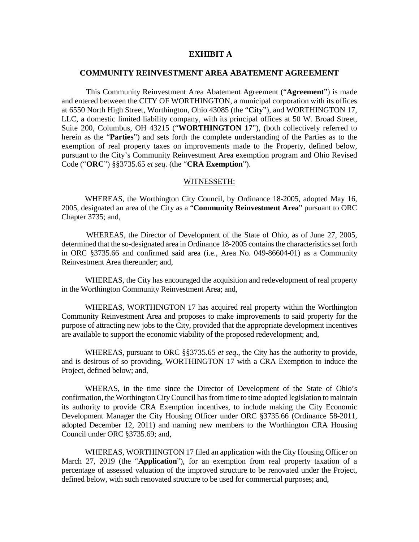## **EXHIBIT A**

### **COMMUNITY REINVESTMENT AREA ABATEMENT AGREEMENT**

This Community Reinvestment Area Abatement Agreement ("**Agreement**") is made and entered between the CITY OF WORTHINGTON, a municipal corporation with its offices at 6550 North High Street, Worthington, Ohio 43085 (the "**City**"), and WORTHINGTON 17, LLC, a domestic limited liability company, with its principal offices at 50 W. Broad Street, Suite 200, Columbus, OH 43215 ("WORTHINGTON 17"), (both collectively referred to herein as the "**Parties**") and sets forth the complete understanding of the Parties as to the exemption of real property taxes on improvements made to the Property, defined below, pursuant to the City's Community Reinvestment Area exemption program and Ohio Revised Code ("**ORC**") §§3735.65 *et seq*. (the "**CRA Exemption**").

### WITNESSETH:

WHEREAS, the Worthington City Council, by Ordinance 18-2005, adopted May 16, 2005, designated an area of the City as a "**Community Reinvestment Area**" pursuant to ORC Chapter 3735; and,

WHEREAS, the Director of Development of the State of Ohio, as of June 27, 2005, determined that the so-designated area in Ordinance 18-2005 contains the characteristics set forth in ORC §3735.66 and confirmed said area (i.e., Area No. 049-86604-01) as a Community Reinvestment Area thereunder; and,

WHEREAS, the City has encouraged the acquisition and redevelopment of real property in the Worthington Community Reinvestment Area; and,

WHEREAS, WORTHINGTON 17 has acquired real property within the Worthington Community Reinvestment Area and proposes to make improvements to said property for the purpose of attracting new jobs to the City, provided that the appropriate development incentives are available to support the economic viability of the proposed redevelopment; and,

WHEREAS, pursuant to ORC §§3735.65 *et seq*., the City has the authority to provide, and is desirous of so providing, WORTHINGTON 17 with a CRA Exemption to induce the Project, defined below; and,

WHERAS, in the time since the Director of Development of the State of Ohio's confirmation, the Worthington City Council has from time to time adopted legislation to maintain its authority to provide CRA Exemption incentives, to include making the City Economic Development Manager the City Housing Officer under ORC §3735.66 (Ordinance 58-2011, adopted December 12, 2011) and naming new members to the Worthington CRA Housing Council under ORC §3735.69; and,

WHEREAS, WORTHINGTON 17 filed an application with the City Housing Officer on March 27, 2019 (the "**Application**"), for an exemption from real property taxation of a percentage of assessed valuation of the improved structure to be renovated under the Project, defined below, with such renovated structure to be used for commercial purposes; and,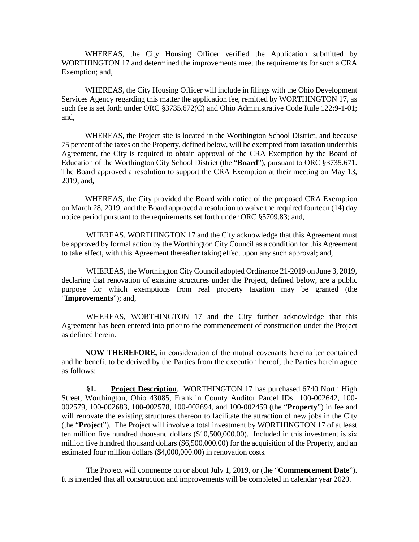WHEREAS, the City Housing Officer verified the Application submitted by WORTHINGTON 17 and determined the improvements meet the requirements for such a CRA Exemption; and,

WHEREAS, the City Housing Officer will include in filings with the Ohio Development Services Agency regarding this matter the application fee, remitted by WORTHINGTON 17, as such fee is set forth under ORC §3735.672(C) and Ohio Administrative Code Rule 122:9-1-01; and,

WHEREAS, the Project site is located in the Worthington School District, and because 75 percent of the taxes on the Property, defined below, will be exempted from taxation under this Agreement, the City is required to obtain approval of the CRA Exemption by the Board of Education of the Worthington City School District (the "**Board**"), pursuant to ORC §3735.671. The Board approved a resolution to support the CRA Exemption at their meeting on May 13, 2019; and,

WHEREAS, the City provided the Board with notice of the proposed CRA Exemption on March 28, 2019, and the Board approved a resolution to waive the required fourteen (14) day notice period pursuant to the requirements set forth under ORC §5709.83; and,

WHEREAS, WORTHINGTON 17 and the City acknowledge that this Agreement must be approved by formal action by the Worthington City Council as a condition for this Agreement to take effect, with this Agreement thereafter taking effect upon any such approval; and,

WHEREAS, the Worthington City Council adopted Ordinance 21-2019 on June 3, 2019, declaring that renovation of existing structures under the Project, defined below, are a public purpose for which exemptions from real property taxation may be granted (the "**Improvements**"); and,

WHEREAS, WORTHINGTON 17 and the City further acknowledge that this Agreement has been entered into prior to the commencement of construction under the Project as defined herein.

**NOW THEREFORE,** in consideration of the mutual covenants hereinafter contained and he benefit to be derived by the Parties from the execution hereof, the Parties herein agree as follows:

**§1. Project Description**. WORTHINGTON 17 has purchased 6740 North High Street, Worthington, Ohio 43085, Franklin County Auditor Parcel IDs 100-002642, 100- 002579, 100-002683, 100-002578, 100-002694, and 100-002459 (the "**Property**") in fee and will renovate the existing structures thereon to facilitate the attraction of new jobs in the City (the "**Project**"). The Project will involve a total investment by WORTHINGTON 17 of at least ten million five hundred thousand dollars (\$10,500,000.00). Included in this investment is six million five hundred thousand dollars (\$6,500,000.00) for the acquisition of the Property, and an estimated four million dollars (\$4,000,000.00) in renovation costs.

The Project will commence on or about July 1, 2019, or (the "**Commencement Date**"). It is intended that all construction and improvements will be completed in calendar year 2020.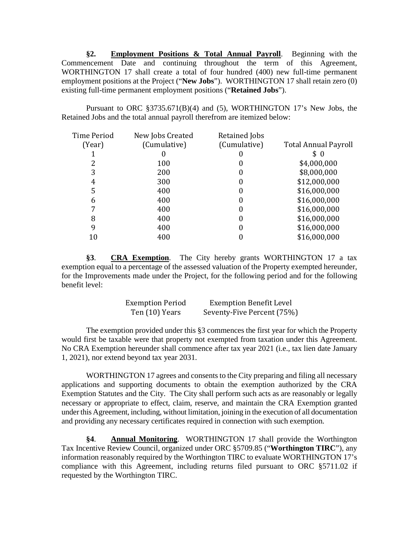**§2. Employment Positions & Total Annual Payroll**. Beginning with the Commencement Date and continuing throughout the term of this Agreement, WORTHINGTON 17 shall create a total of four hundred (400) new full-time permanent employment positions at the Project ("**New Jobs**"). WORTHINGTON 17 shall retain zero (0) existing full-time permanent employment positions ("**Retained Jobs**").

Pursuant to ORC §3735.671(B)(4) and (5), WORTHINGTON 17's New Jobs, the Retained Jobs and the total annual payroll therefrom are itemized below:

| Time Period | New Jobs Created | <b>Retained Jobs</b> |                             |
|-------------|------------------|----------------------|-----------------------------|
| (Year)      | (Cumulative)     | (Cumulative)         | <b>Total Annual Payroll</b> |
|             |                  |                      | \$<br>$\theta$              |
|             | 100              | 0                    | \$4,000,000                 |
| 3           | 200              | 0                    | \$8,000,000                 |
| 4           | 300              | 0                    | \$12,000,000                |
| 5           | 400              | 0                    | \$16,000,000                |
| 6           | 400              | 0                    | \$16,000,000                |
|             | 400              | 0                    | \$16,000,000                |
| 8           | 400              | 0                    | \$16,000,000                |
| 9           | 400              | 0                    | \$16,000,000                |
| 10          | 400              |                      | \$16,000,000                |
|             |                  |                      |                             |

**§3**. **CRA Exemption**. The City hereby grants WORTHINGTON 17 a tax exemption equal to a percentage of the assessed valuation of the Property exempted hereunder, for the Improvements made under the Project, for the following period and for the following benefit level:

| <b>Exemption Period</b> | <b>Exemption Benefit Level</b> |
|-------------------------|--------------------------------|
| Ten (10) Years          | Seventy-Five Percent (75%)     |

The exemption provided under this §3 commences the first year for which the Property would first be taxable were that property not exempted from taxation under this Agreement. No CRA Exemption hereunder shall commence after tax year 2021 (i.e., tax lien date January 1, 2021), nor extend beyond tax year 2031.

WORTHINGTON 17 agrees and consents to the City preparing and filing all necessary applications and supporting documents to obtain the exemption authorized by the CRA Exemption Statutes and the City. The City shall perform such acts as are reasonably or legally necessary or appropriate to effect, claim, reserve, and maintain the CRA Exemption granted under this Agreement, including, without limitation, joining in the execution of all documentation and providing any necessary certificates required in connection with such exemption.

**§4**. **Annual Monitoring**. WORTHINGTON 17 shall provide the Worthington Tax Incentive Review Council, organized under ORC §5709.85 ("**Worthington TIRC**"), any information reasonably required by the Worthington TIRC to evaluate WORTHINGTON 17's compliance with this Agreement, including returns filed pursuant to ORC §5711.02 if requested by the Worthington TIRC.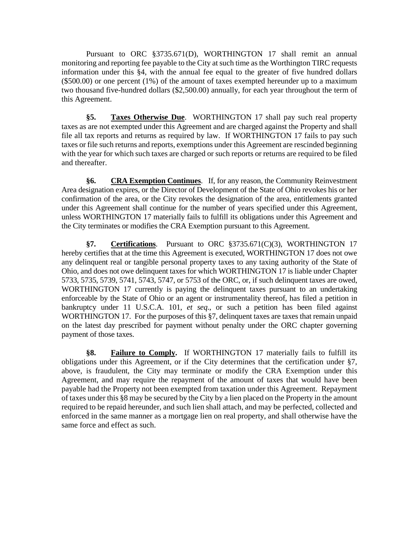Pursuant to ORC §3735.671(D), WORTHINGTON 17 shall remit an annual monitoring and reporting fee payable to the City at such time as the Worthington TIRC requests information under this §4, with the annual fee equal to the greater of five hundred dollars (\$500.00) or one percent (1%) of the amount of taxes exempted hereunder up to a maximum two thousand five-hundred dollars (\$2,500.00) annually, for each year throughout the term of this Agreement.

**§5. Taxes Otherwise Due**. WORTHINGTON 17 shall pay such real property taxes as are not exempted under this Agreement and are charged against the Property and shall file all tax reports and returns as required by law. If WORTHINGTON 17 fails to pay such taxes or file such returns and reports, exemptions under this Agreement are rescinded beginning with the year for which such taxes are charged or such reports or returns are required to be filed and thereafter.

**§6. CRA Exemption Continues**.If, for any reason, the Community Reinvestment Area designation expires, or the Director of Development of the State of Ohio revokes his or her confirmation of the area, or the City revokes the designation of the area, entitlements granted under this Agreement shall continue for the number of years specified under this Agreement, unless WORTHINGTON 17 materially fails to fulfill its obligations under this Agreement and the City terminates or modifies the CRA Exemption pursuant to this Agreement.

**§7. Certifications**. Pursuant to ORC §3735.671(C)(3), WORTHINGTON 17 hereby certifies that at the time this Agreement is executed, WORTHINGTON 17 does not owe any delinquent real or tangible personal property taxes to any taxing authority of the State of Ohio, and does not owe delinquent taxes for which WORTHINGTON 17 is liable under Chapter 5733, 5735, 5739, 5741, 5743, 5747, or 5753 of the ORC, or, if such delinquent taxes are owed, WORTHINGTON 17 currently is paying the delinquent taxes pursuant to an undertaking enforceable by the State of Ohio or an agent or instrumentality thereof, has filed a petition in bankruptcy under 11 U.S.C.A. 101, *et seq*., or such a petition has been filed against WORTHINGTON 17. For the purposes of this §7, delinquent taxes are taxes that remain unpaid on the latest day prescribed for payment without penalty under the ORC chapter governing payment of those taxes.

**§8. Failure to Comply.** If WORTHINGTON 17 materially fails to fulfill its obligations under this Agreement, or if the City determines that the certification under §7, above, is fraudulent, the City may terminate or modify the CRA Exemption under this Agreement, and may require the repayment of the amount of taxes that would have been payable had the Property not been exempted from taxation under this Agreement. Repayment of taxes under this §8 may be secured by the City by a lien placed on the Property in the amount required to be repaid hereunder, and such lien shall attach, and may be perfected, collected and enforced in the same manner as a mortgage lien on real property, and shall otherwise have the same force and effect as such.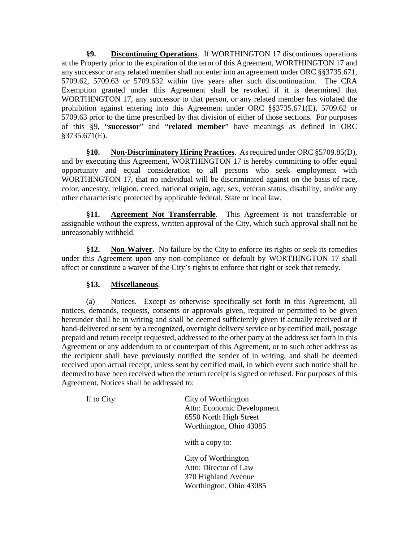**§9. Discontinuing Operations**. If WORTHINGTON 17 discontinues operations at the Property prior to the expiration of the term of this Agreement, WORTHINGTON 17 and any successor or any related member shall not enter into an agreement under ORC §§3735.671, 5709.62, 5709.63 or 5709.632 within five years after such discontinuation. The CRA Exemption granted under this Agreement shall be revoked if it is determined that WORTHINGTON 17, any successor to that person, or any related member has violated the prohibition against entering into this Agreement under ORC §§3735.671(E), 5709.62 or 5709.63 prior to the time prescribed by that division of either of those sections. For purposes of this §9, "**successor**" and "**related member**" have meanings as defined in ORC §3735.671(E).

**§10. Non-Discriminatory Hiring Practices**. As required under ORC §5709.85(D), and by executing this Agreement, WORTHINGTON 17 is hereby committing to offer equal opportunity and equal consideration to all persons who seek employment with WORTHINGTON 17, that no individual will be discriminated against on the basis of race, color, ancestry, religion, creed, national origin, age, sex, veteran status, disability, and/or any other characteristic protected by applicable federal, State or local law.

**§11. Agreement Not Transferrable**. This Agreement is not transferrable or assignable without the express, written approval of the City, which such approval shall not be unreasonably withheld.

**§12. Non-Waiver.** No failure by the City to enforce its rights or seek its remedies under this Agreement upon any non-compliance or default by WORTHINGTON 17 shall affect or constitute a waiver of the City's rights to enforce that right or seek that remedy.

# **§13. Miscellaneous**.

(a) Notices. Except as otherwise specifically set forth in this Agreement, all notices, demands, requests, consents or approvals given, required or permitted to be given hereunder shall be in writing and shall be deemed sufficiently given if actually received or if hand-delivered or sent by a recognized, overnight delivery service or by certified mail, postage prepaid and return receipt requested, addressed to the other party at the address set forth in this Agreement or any addendum to or counterpart of this Agreement, or to such other address as the recipient shall have previously notified the sender of in writing, and shall be deemed received upon actual receipt, unless sent by certified mail, in which event such notice shall be deemed to have been received when the return receipt is signed or refused. For purposes of this Agreement, Notices shall be addressed to:

If to City: City of Worthington Attn: Economic Development 6550 North High Street Worthington, Ohio 43085

with a copy to:

City of Worthington Attn: Director of Law 370 Highland Avenue Worthington, Ohio 43085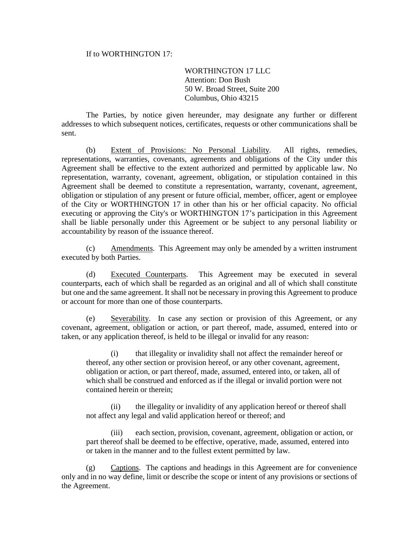### If to WORTHINGTON 17:

# WORTHINGTON 17 LLC Attention: Don Bush 50 W. Broad Street, Suite 200 Columbus, Ohio 43215

The Parties, by notice given hereunder, may designate any further or different addresses to which subsequent notices, certificates, requests or other communications shall be sent.

(b) Extent of Provisions: No Personal Liability. All rights, remedies, representations, warranties, covenants, agreements and obligations of the City under this Agreement shall be effective to the extent authorized and permitted by applicable law. No representation, warranty, covenant, agreement, obligation, or stipulation contained in this Agreement shall be deemed to constitute a representation, warranty, covenant, agreement, obligation or stipulation of any present or future official, member, officer, agent or employee of the City or WORTHINGTON 17 in other than his or her official capacity. No official executing or approving the City's or WORTHINGTON 17's participation in this Agreement shall be liable personally under this Agreement or be subject to any personal liability or accountability by reason of the issuance thereof.

(c) Amendments. This Agreement may only be amended by a written instrument executed by both Parties.

(d) Executed Counterparts. This Agreement may be executed in several counterparts, each of which shall be regarded as an original and all of which shall constitute but one and the same agreement. It shall not be necessary in proving this Agreement to produce or account for more than one of those counterparts.

(e) Severability. In case any section or provision of this Agreement, or any covenant, agreement, obligation or action, or part thereof, made, assumed, entered into or taken, or any application thereof, is held to be illegal or invalid for any reason:

(i) that illegality or invalidity shall not affect the remainder hereof or thereof, any other section or provision hereof, or any other covenant, agreement, obligation or action, or part thereof, made, assumed, entered into, or taken, all of which shall be construed and enforced as if the illegal or invalid portion were not contained herein or therein;

(ii) the illegality or invalidity of any application hereof or thereof shall not affect any legal and valid application hereof or thereof; and

(iii) each section, provision, covenant, agreement, obligation or action, or part thereof shall be deemed to be effective, operative, made, assumed, entered into or taken in the manner and to the fullest extent permitted by law.

(g) Captions. The captions and headings in this Agreement are for convenience only and in no way define, limit or describe the scope or intent of any provisions or sections of the Agreement.